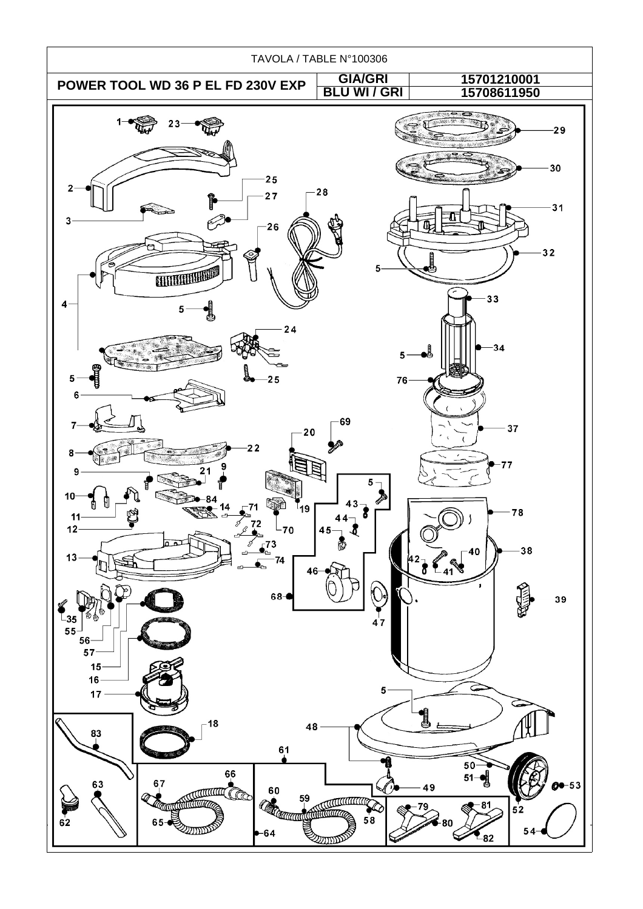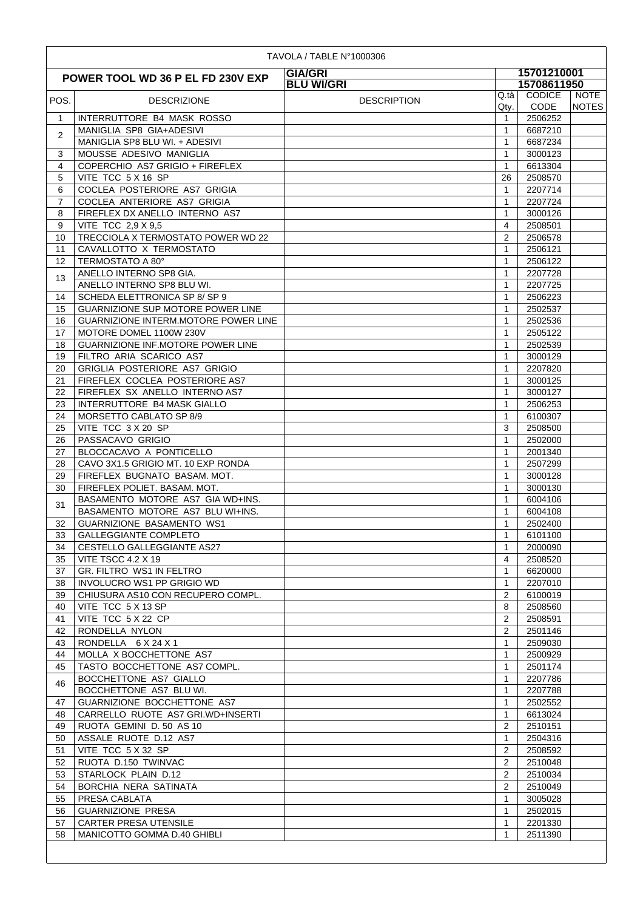| 15701210001<br><b>GIA/GRI</b><br>POWER TOOL WD 36 P EL FD 230V EXP<br>15708611950<br><b>BLU WI/GRI</b><br><b>CODICE</b><br><b>NOTE</b><br>Q.tà<br>POS.<br><b>DESCRIPTION</b><br><b>DESCRIZIONE</b><br><b>CODE</b><br><b>NOTES</b><br>Qty.<br>$\mathbf{1}$<br>INTERRUTTORE B4 MASK ROSSO<br>$\mathbf{1}$<br>2506252<br>MANIGLIA SP8 GIA+ADESIVI<br>$\mathbf{1}$<br>6687210<br>$\overline{2}$<br>MANIGLIA SP8 BLU WI. + ADESIVI<br>$\mathbf{1}$<br>6687234<br>3<br>MOUSSE ADESIVO MANIGLIA<br>3000123<br>$\mathbf{1}$<br>$\overline{4}$<br>COPERCHIO AS7 GRIGIO + FIREFLEX<br>6613304<br>$\mathbf{1}$<br>5<br>VITE TCC 5 X 16 SP<br>26<br>2508570<br>6<br>COCLEA POSTERIORE AS7 GRIGIA<br>2207714<br>$\mathbf{1}$<br>COCLEA ANTERIORE AS7 GRIGIA<br>$\overline{7}$<br>$\mathbf{1}$<br>2207724<br>FIREFLEX DX ANELLO INTERNO AS7<br>3000126<br>8<br>$\mathbf{1}$<br>9<br>VITE TCC 2,9 X 9,5<br>2508501<br>4<br>$\overline{2}$<br>TRECCIOLA X TERMOSTATO POWER WD 22<br>2506578<br>10<br>CAVALLOTTO X TERMOSTATO<br>$\mathbf{1}$<br>2506121<br>11<br>12<br>TERMOSTATO A 80°<br>2506122<br>$\mathbf{1}$<br>ANELLO INTERNO SP8 GIA.<br>$\mathbf{1}$<br>2207728<br>13<br>ANELLO INTERNO SP8 BLU WI.<br>2207725<br>$\mathbf{1}$<br>SCHEDA ELETTRONICA SP 8/SP 9<br>2506223<br>1<br>14<br><b>GUARNIZIONE SUP MOTORE POWER LINE</b><br>$\mathbf{1}$<br>2502537<br>15<br>GUARNIZIONE INTERM.MOTORE POWER LINE<br>2502536<br>16<br>1<br>17<br>MOTORE DOMEL 1100W 230V<br>$\mathbf{1}$<br>2505122<br><b>GUARNIZIONE INF.MOTORE POWER LINE</b><br>$\mathbf{1}$<br>18<br>2502539<br>19<br>FILTRO ARIA SCARICO AS7<br>3000129<br>$\mathbf{1}$<br>GRIGLIA POSTERIORE AS7 GRIGIO<br>2207820<br>20<br>1<br>FIREFLEX COCLEA POSTERIORE AS7<br>21<br>1<br>3000125<br>FIREFLEX SX ANELLO INTERNO AS7<br>22<br>$\mathbf{1}$<br>3000127<br><b>INTERRUTTORE B4 MASK GIALLO</b><br>23<br>$\mathbf{1}$<br>2506253<br>MORSETTO CABLATO SP 8/9<br>$\mathbf{1}$<br>24<br>6100307<br>VITE TCC 3 X 20 SP<br>25<br>3<br>2508500<br>PASSACAVO GRIGIO<br>$\mathbf{1}$<br>2502000<br>26<br>BLOCCACAVO A PONTICELLO<br>2001340<br>27<br>$\mathbf{1}$<br>28<br>CAVO 3X1.5 GRIGIO MT. 10 EXP RONDA<br>$\mathbf{1}$<br>2507299<br>29<br>FIREFLEX BUGNATO BASAM. MOT.<br>$\mathbf{1}$<br>3000128<br>FIREFLEX POLIET. BASAM. MOT.<br>30<br>$\mathbf{1}$<br>3000130<br>BASAMENTO MOTORE AS7 GIA WD+INS.<br>$\mathbf{1}$<br>6004106<br>31<br>BASAMENTO MOTORE AS7 BLU WI+INS.<br>6004108<br>$\mathbf{1}$<br><b>GUARNIZIONE BASAMENTO WS1</b><br>2502400<br>32<br>1<br>33<br><b>GALLEGGIANTE COMPLETO</b><br>1<br>6101100<br>$\mathbf{1}$<br>34<br><b>CESTELLO GALLEGGIANTE AS27</b><br>2000090<br>35<br><b>VITE TSCC 4.2 X 19</b><br>2508520<br>4<br>GR. FILTRO WS1 IN FELTRO<br>$\mathbf{1}$<br>37<br>6620000<br><b>INVOLUCRO WS1 PP GRIGIO WD</b><br>2207010<br>38<br>$\mathbf{1}$<br>CHIUSURA AS10 CON RECUPERO COMPL.<br>39<br>2<br>6100019<br>VITE TCC 5 X 13 SP<br>40<br>8<br>2508560<br>VITE TCC 5 X 22 CP<br>2<br>41<br>2508591<br>RONDELLA NYLON<br>$\overline{2}$<br>2501146<br>42<br>RONDELLA 6 X 24 X 1<br>$\mathbf{1}$<br>43<br>2509030<br>MOLLA X BOCCHETTONE AS7<br>44<br>$\mathbf{1}$<br>2500929<br>TASTO BOCCHETTONE AS7 COMPL.<br>$\mathbf{1}$<br>2501174<br>45<br>BOCCHETTONE AS7 GIALLO<br>2207786<br>1<br>46<br>BOCCHETTONE AS7 BLU WI.<br>2207788<br>1<br>GUARNIZIONE BOCCHETTONE AS7<br>$\mathbf{1}$<br>2502552<br>47<br>CARRELLO RUOTE AS7 GRI.WD+INSERTI<br>48<br>1<br>6613024<br>RUOTA GEMINI D. 50 AS 10<br>2<br>49<br>2510151<br>ASSALE RUOTE D.12 AS7<br>50<br>$\mathbf{1}$<br>2504316<br>VITE TCC 5 X 32 SP<br>2508592<br>2<br>51<br>RUOTA D.150 TWINVAC<br>52<br>2<br>2510048<br>STARLOCK PLAIN D.12<br>2<br>53<br>2510034<br>$\overline{2}$<br>54<br>BORCHIA NERA SATINATA<br>2510049<br>PRESA CABLATA<br>55<br>$\mathbf{1}$<br>3005028<br><b>GUARNIZIONE PRESA</b><br>$\mathbf{1}$<br>56<br>2502015<br><b>CARTER PRESA UTENSILE</b><br>2201330<br>57<br>$\mathbf{1}$<br>MANICOTTO GOMMA D.40 GHIBLI<br>2511390<br>58<br>1 |  | TAVOLA / TABLE N°1000306 |  |  |  |
|----------------------------------------------------------------------------------------------------------------------------------------------------------------------------------------------------------------------------------------------------------------------------------------------------------------------------------------------------------------------------------------------------------------------------------------------------------------------------------------------------------------------------------------------------------------------------------------------------------------------------------------------------------------------------------------------------------------------------------------------------------------------------------------------------------------------------------------------------------------------------------------------------------------------------------------------------------------------------------------------------------------------------------------------------------------------------------------------------------------------------------------------------------------------------------------------------------------------------------------------------------------------------------------------------------------------------------------------------------------------------------------------------------------------------------------------------------------------------------------------------------------------------------------------------------------------------------------------------------------------------------------------------------------------------------------------------------------------------------------------------------------------------------------------------------------------------------------------------------------------------------------------------------------------------------------------------------------------------------------------------------------------------------------------------------------------------------------------------------------------------------------------------------------------------------------------------------------------------------------------------------------------------------------------------------------------------------------------------------------------------------------------------------------------------------------------------------------------------------------------------------------------------------------------------------------------------------------------------------------------------------------------------------------------------------------------------------------------------------------------------------------------------------------------------------------------------------------------------------------------------------------------------------------------------------------------------------------------------------------------------------------------------------------------------------------------------------------------------------------------------------------------------------------------------------------------------------------------------------------------------------------------------------------------------------------------------------------------------------------------------------------------------------------------------------------------------------------------------------------------------------------------------------------------------------------------------------------------------------------------------------------------------------------------------------------------------------------------------------------------------------------------------------------------------------------------------------------------------------------------------------------------------------------------------------------------------------------------------------------------------------------|--|--------------------------|--|--|--|
|                                                                                                                                                                                                                                                                                                                                                                                                                                                                                                                                                                                                                                                                                                                                                                                                                                                                                                                                                                                                                                                                                                                                                                                                                                                                                                                                                                                                                                                                                                                                                                                                                                                                                                                                                                                                                                                                                                                                                                                                                                                                                                                                                                                                                                                                                                                                                                                                                                                                                                                                                                                                                                                                                                                                                                                                                                                                                                                                                                                                                                                                                                                                                                                                                                                                                                                                                                                                                                                                                                                                                                                                                                                                                                                                                                                                                                                                                                                                                                                                                |  |                          |  |  |  |
|                                                                                                                                                                                                                                                                                                                                                                                                                                                                                                                                                                                                                                                                                                                                                                                                                                                                                                                                                                                                                                                                                                                                                                                                                                                                                                                                                                                                                                                                                                                                                                                                                                                                                                                                                                                                                                                                                                                                                                                                                                                                                                                                                                                                                                                                                                                                                                                                                                                                                                                                                                                                                                                                                                                                                                                                                                                                                                                                                                                                                                                                                                                                                                                                                                                                                                                                                                                                                                                                                                                                                                                                                                                                                                                                                                                                                                                                                                                                                                                                                |  |                          |  |  |  |
|                                                                                                                                                                                                                                                                                                                                                                                                                                                                                                                                                                                                                                                                                                                                                                                                                                                                                                                                                                                                                                                                                                                                                                                                                                                                                                                                                                                                                                                                                                                                                                                                                                                                                                                                                                                                                                                                                                                                                                                                                                                                                                                                                                                                                                                                                                                                                                                                                                                                                                                                                                                                                                                                                                                                                                                                                                                                                                                                                                                                                                                                                                                                                                                                                                                                                                                                                                                                                                                                                                                                                                                                                                                                                                                                                                                                                                                                                                                                                                                                                |  |                          |  |  |  |
|                                                                                                                                                                                                                                                                                                                                                                                                                                                                                                                                                                                                                                                                                                                                                                                                                                                                                                                                                                                                                                                                                                                                                                                                                                                                                                                                                                                                                                                                                                                                                                                                                                                                                                                                                                                                                                                                                                                                                                                                                                                                                                                                                                                                                                                                                                                                                                                                                                                                                                                                                                                                                                                                                                                                                                                                                                                                                                                                                                                                                                                                                                                                                                                                                                                                                                                                                                                                                                                                                                                                                                                                                                                                                                                                                                                                                                                                                                                                                                                                                |  |                          |  |  |  |
|                                                                                                                                                                                                                                                                                                                                                                                                                                                                                                                                                                                                                                                                                                                                                                                                                                                                                                                                                                                                                                                                                                                                                                                                                                                                                                                                                                                                                                                                                                                                                                                                                                                                                                                                                                                                                                                                                                                                                                                                                                                                                                                                                                                                                                                                                                                                                                                                                                                                                                                                                                                                                                                                                                                                                                                                                                                                                                                                                                                                                                                                                                                                                                                                                                                                                                                                                                                                                                                                                                                                                                                                                                                                                                                                                                                                                                                                                                                                                                                                                |  |                          |  |  |  |
|                                                                                                                                                                                                                                                                                                                                                                                                                                                                                                                                                                                                                                                                                                                                                                                                                                                                                                                                                                                                                                                                                                                                                                                                                                                                                                                                                                                                                                                                                                                                                                                                                                                                                                                                                                                                                                                                                                                                                                                                                                                                                                                                                                                                                                                                                                                                                                                                                                                                                                                                                                                                                                                                                                                                                                                                                                                                                                                                                                                                                                                                                                                                                                                                                                                                                                                                                                                                                                                                                                                                                                                                                                                                                                                                                                                                                                                                                                                                                                                                                |  |                          |  |  |  |
|                                                                                                                                                                                                                                                                                                                                                                                                                                                                                                                                                                                                                                                                                                                                                                                                                                                                                                                                                                                                                                                                                                                                                                                                                                                                                                                                                                                                                                                                                                                                                                                                                                                                                                                                                                                                                                                                                                                                                                                                                                                                                                                                                                                                                                                                                                                                                                                                                                                                                                                                                                                                                                                                                                                                                                                                                                                                                                                                                                                                                                                                                                                                                                                                                                                                                                                                                                                                                                                                                                                                                                                                                                                                                                                                                                                                                                                                                                                                                                                                                |  |                          |  |  |  |
|                                                                                                                                                                                                                                                                                                                                                                                                                                                                                                                                                                                                                                                                                                                                                                                                                                                                                                                                                                                                                                                                                                                                                                                                                                                                                                                                                                                                                                                                                                                                                                                                                                                                                                                                                                                                                                                                                                                                                                                                                                                                                                                                                                                                                                                                                                                                                                                                                                                                                                                                                                                                                                                                                                                                                                                                                                                                                                                                                                                                                                                                                                                                                                                                                                                                                                                                                                                                                                                                                                                                                                                                                                                                                                                                                                                                                                                                                                                                                                                                                |  |                          |  |  |  |
|                                                                                                                                                                                                                                                                                                                                                                                                                                                                                                                                                                                                                                                                                                                                                                                                                                                                                                                                                                                                                                                                                                                                                                                                                                                                                                                                                                                                                                                                                                                                                                                                                                                                                                                                                                                                                                                                                                                                                                                                                                                                                                                                                                                                                                                                                                                                                                                                                                                                                                                                                                                                                                                                                                                                                                                                                                                                                                                                                                                                                                                                                                                                                                                                                                                                                                                                                                                                                                                                                                                                                                                                                                                                                                                                                                                                                                                                                                                                                                                                                |  |                          |  |  |  |
|                                                                                                                                                                                                                                                                                                                                                                                                                                                                                                                                                                                                                                                                                                                                                                                                                                                                                                                                                                                                                                                                                                                                                                                                                                                                                                                                                                                                                                                                                                                                                                                                                                                                                                                                                                                                                                                                                                                                                                                                                                                                                                                                                                                                                                                                                                                                                                                                                                                                                                                                                                                                                                                                                                                                                                                                                                                                                                                                                                                                                                                                                                                                                                                                                                                                                                                                                                                                                                                                                                                                                                                                                                                                                                                                                                                                                                                                                                                                                                                                                |  |                          |  |  |  |
|                                                                                                                                                                                                                                                                                                                                                                                                                                                                                                                                                                                                                                                                                                                                                                                                                                                                                                                                                                                                                                                                                                                                                                                                                                                                                                                                                                                                                                                                                                                                                                                                                                                                                                                                                                                                                                                                                                                                                                                                                                                                                                                                                                                                                                                                                                                                                                                                                                                                                                                                                                                                                                                                                                                                                                                                                                                                                                                                                                                                                                                                                                                                                                                                                                                                                                                                                                                                                                                                                                                                                                                                                                                                                                                                                                                                                                                                                                                                                                                                                |  |                          |  |  |  |
|                                                                                                                                                                                                                                                                                                                                                                                                                                                                                                                                                                                                                                                                                                                                                                                                                                                                                                                                                                                                                                                                                                                                                                                                                                                                                                                                                                                                                                                                                                                                                                                                                                                                                                                                                                                                                                                                                                                                                                                                                                                                                                                                                                                                                                                                                                                                                                                                                                                                                                                                                                                                                                                                                                                                                                                                                                                                                                                                                                                                                                                                                                                                                                                                                                                                                                                                                                                                                                                                                                                                                                                                                                                                                                                                                                                                                                                                                                                                                                                                                |  |                          |  |  |  |
|                                                                                                                                                                                                                                                                                                                                                                                                                                                                                                                                                                                                                                                                                                                                                                                                                                                                                                                                                                                                                                                                                                                                                                                                                                                                                                                                                                                                                                                                                                                                                                                                                                                                                                                                                                                                                                                                                                                                                                                                                                                                                                                                                                                                                                                                                                                                                                                                                                                                                                                                                                                                                                                                                                                                                                                                                                                                                                                                                                                                                                                                                                                                                                                                                                                                                                                                                                                                                                                                                                                                                                                                                                                                                                                                                                                                                                                                                                                                                                                                                |  |                          |  |  |  |
|                                                                                                                                                                                                                                                                                                                                                                                                                                                                                                                                                                                                                                                                                                                                                                                                                                                                                                                                                                                                                                                                                                                                                                                                                                                                                                                                                                                                                                                                                                                                                                                                                                                                                                                                                                                                                                                                                                                                                                                                                                                                                                                                                                                                                                                                                                                                                                                                                                                                                                                                                                                                                                                                                                                                                                                                                                                                                                                                                                                                                                                                                                                                                                                                                                                                                                                                                                                                                                                                                                                                                                                                                                                                                                                                                                                                                                                                                                                                                                                                                |  |                          |  |  |  |
|                                                                                                                                                                                                                                                                                                                                                                                                                                                                                                                                                                                                                                                                                                                                                                                                                                                                                                                                                                                                                                                                                                                                                                                                                                                                                                                                                                                                                                                                                                                                                                                                                                                                                                                                                                                                                                                                                                                                                                                                                                                                                                                                                                                                                                                                                                                                                                                                                                                                                                                                                                                                                                                                                                                                                                                                                                                                                                                                                                                                                                                                                                                                                                                                                                                                                                                                                                                                                                                                                                                                                                                                                                                                                                                                                                                                                                                                                                                                                                                                                |  |                          |  |  |  |
|                                                                                                                                                                                                                                                                                                                                                                                                                                                                                                                                                                                                                                                                                                                                                                                                                                                                                                                                                                                                                                                                                                                                                                                                                                                                                                                                                                                                                                                                                                                                                                                                                                                                                                                                                                                                                                                                                                                                                                                                                                                                                                                                                                                                                                                                                                                                                                                                                                                                                                                                                                                                                                                                                                                                                                                                                                                                                                                                                                                                                                                                                                                                                                                                                                                                                                                                                                                                                                                                                                                                                                                                                                                                                                                                                                                                                                                                                                                                                                                                                |  |                          |  |  |  |
|                                                                                                                                                                                                                                                                                                                                                                                                                                                                                                                                                                                                                                                                                                                                                                                                                                                                                                                                                                                                                                                                                                                                                                                                                                                                                                                                                                                                                                                                                                                                                                                                                                                                                                                                                                                                                                                                                                                                                                                                                                                                                                                                                                                                                                                                                                                                                                                                                                                                                                                                                                                                                                                                                                                                                                                                                                                                                                                                                                                                                                                                                                                                                                                                                                                                                                                                                                                                                                                                                                                                                                                                                                                                                                                                                                                                                                                                                                                                                                                                                |  |                          |  |  |  |
|                                                                                                                                                                                                                                                                                                                                                                                                                                                                                                                                                                                                                                                                                                                                                                                                                                                                                                                                                                                                                                                                                                                                                                                                                                                                                                                                                                                                                                                                                                                                                                                                                                                                                                                                                                                                                                                                                                                                                                                                                                                                                                                                                                                                                                                                                                                                                                                                                                                                                                                                                                                                                                                                                                                                                                                                                                                                                                                                                                                                                                                                                                                                                                                                                                                                                                                                                                                                                                                                                                                                                                                                                                                                                                                                                                                                                                                                                                                                                                                                                |  |                          |  |  |  |
|                                                                                                                                                                                                                                                                                                                                                                                                                                                                                                                                                                                                                                                                                                                                                                                                                                                                                                                                                                                                                                                                                                                                                                                                                                                                                                                                                                                                                                                                                                                                                                                                                                                                                                                                                                                                                                                                                                                                                                                                                                                                                                                                                                                                                                                                                                                                                                                                                                                                                                                                                                                                                                                                                                                                                                                                                                                                                                                                                                                                                                                                                                                                                                                                                                                                                                                                                                                                                                                                                                                                                                                                                                                                                                                                                                                                                                                                                                                                                                                                                |  |                          |  |  |  |
|                                                                                                                                                                                                                                                                                                                                                                                                                                                                                                                                                                                                                                                                                                                                                                                                                                                                                                                                                                                                                                                                                                                                                                                                                                                                                                                                                                                                                                                                                                                                                                                                                                                                                                                                                                                                                                                                                                                                                                                                                                                                                                                                                                                                                                                                                                                                                                                                                                                                                                                                                                                                                                                                                                                                                                                                                                                                                                                                                                                                                                                                                                                                                                                                                                                                                                                                                                                                                                                                                                                                                                                                                                                                                                                                                                                                                                                                                                                                                                                                                |  |                          |  |  |  |
|                                                                                                                                                                                                                                                                                                                                                                                                                                                                                                                                                                                                                                                                                                                                                                                                                                                                                                                                                                                                                                                                                                                                                                                                                                                                                                                                                                                                                                                                                                                                                                                                                                                                                                                                                                                                                                                                                                                                                                                                                                                                                                                                                                                                                                                                                                                                                                                                                                                                                                                                                                                                                                                                                                                                                                                                                                                                                                                                                                                                                                                                                                                                                                                                                                                                                                                                                                                                                                                                                                                                                                                                                                                                                                                                                                                                                                                                                                                                                                                                                |  |                          |  |  |  |
|                                                                                                                                                                                                                                                                                                                                                                                                                                                                                                                                                                                                                                                                                                                                                                                                                                                                                                                                                                                                                                                                                                                                                                                                                                                                                                                                                                                                                                                                                                                                                                                                                                                                                                                                                                                                                                                                                                                                                                                                                                                                                                                                                                                                                                                                                                                                                                                                                                                                                                                                                                                                                                                                                                                                                                                                                                                                                                                                                                                                                                                                                                                                                                                                                                                                                                                                                                                                                                                                                                                                                                                                                                                                                                                                                                                                                                                                                                                                                                                                                |  |                          |  |  |  |
|                                                                                                                                                                                                                                                                                                                                                                                                                                                                                                                                                                                                                                                                                                                                                                                                                                                                                                                                                                                                                                                                                                                                                                                                                                                                                                                                                                                                                                                                                                                                                                                                                                                                                                                                                                                                                                                                                                                                                                                                                                                                                                                                                                                                                                                                                                                                                                                                                                                                                                                                                                                                                                                                                                                                                                                                                                                                                                                                                                                                                                                                                                                                                                                                                                                                                                                                                                                                                                                                                                                                                                                                                                                                                                                                                                                                                                                                                                                                                                                                                |  |                          |  |  |  |
|                                                                                                                                                                                                                                                                                                                                                                                                                                                                                                                                                                                                                                                                                                                                                                                                                                                                                                                                                                                                                                                                                                                                                                                                                                                                                                                                                                                                                                                                                                                                                                                                                                                                                                                                                                                                                                                                                                                                                                                                                                                                                                                                                                                                                                                                                                                                                                                                                                                                                                                                                                                                                                                                                                                                                                                                                                                                                                                                                                                                                                                                                                                                                                                                                                                                                                                                                                                                                                                                                                                                                                                                                                                                                                                                                                                                                                                                                                                                                                                                                |  |                          |  |  |  |
|                                                                                                                                                                                                                                                                                                                                                                                                                                                                                                                                                                                                                                                                                                                                                                                                                                                                                                                                                                                                                                                                                                                                                                                                                                                                                                                                                                                                                                                                                                                                                                                                                                                                                                                                                                                                                                                                                                                                                                                                                                                                                                                                                                                                                                                                                                                                                                                                                                                                                                                                                                                                                                                                                                                                                                                                                                                                                                                                                                                                                                                                                                                                                                                                                                                                                                                                                                                                                                                                                                                                                                                                                                                                                                                                                                                                                                                                                                                                                                                                                |  |                          |  |  |  |
|                                                                                                                                                                                                                                                                                                                                                                                                                                                                                                                                                                                                                                                                                                                                                                                                                                                                                                                                                                                                                                                                                                                                                                                                                                                                                                                                                                                                                                                                                                                                                                                                                                                                                                                                                                                                                                                                                                                                                                                                                                                                                                                                                                                                                                                                                                                                                                                                                                                                                                                                                                                                                                                                                                                                                                                                                                                                                                                                                                                                                                                                                                                                                                                                                                                                                                                                                                                                                                                                                                                                                                                                                                                                                                                                                                                                                                                                                                                                                                                                                |  |                          |  |  |  |
|                                                                                                                                                                                                                                                                                                                                                                                                                                                                                                                                                                                                                                                                                                                                                                                                                                                                                                                                                                                                                                                                                                                                                                                                                                                                                                                                                                                                                                                                                                                                                                                                                                                                                                                                                                                                                                                                                                                                                                                                                                                                                                                                                                                                                                                                                                                                                                                                                                                                                                                                                                                                                                                                                                                                                                                                                                                                                                                                                                                                                                                                                                                                                                                                                                                                                                                                                                                                                                                                                                                                                                                                                                                                                                                                                                                                                                                                                                                                                                                                                |  |                          |  |  |  |
|                                                                                                                                                                                                                                                                                                                                                                                                                                                                                                                                                                                                                                                                                                                                                                                                                                                                                                                                                                                                                                                                                                                                                                                                                                                                                                                                                                                                                                                                                                                                                                                                                                                                                                                                                                                                                                                                                                                                                                                                                                                                                                                                                                                                                                                                                                                                                                                                                                                                                                                                                                                                                                                                                                                                                                                                                                                                                                                                                                                                                                                                                                                                                                                                                                                                                                                                                                                                                                                                                                                                                                                                                                                                                                                                                                                                                                                                                                                                                                                                                |  |                          |  |  |  |
|                                                                                                                                                                                                                                                                                                                                                                                                                                                                                                                                                                                                                                                                                                                                                                                                                                                                                                                                                                                                                                                                                                                                                                                                                                                                                                                                                                                                                                                                                                                                                                                                                                                                                                                                                                                                                                                                                                                                                                                                                                                                                                                                                                                                                                                                                                                                                                                                                                                                                                                                                                                                                                                                                                                                                                                                                                                                                                                                                                                                                                                                                                                                                                                                                                                                                                                                                                                                                                                                                                                                                                                                                                                                                                                                                                                                                                                                                                                                                                                                                |  |                          |  |  |  |
|                                                                                                                                                                                                                                                                                                                                                                                                                                                                                                                                                                                                                                                                                                                                                                                                                                                                                                                                                                                                                                                                                                                                                                                                                                                                                                                                                                                                                                                                                                                                                                                                                                                                                                                                                                                                                                                                                                                                                                                                                                                                                                                                                                                                                                                                                                                                                                                                                                                                                                                                                                                                                                                                                                                                                                                                                                                                                                                                                                                                                                                                                                                                                                                                                                                                                                                                                                                                                                                                                                                                                                                                                                                                                                                                                                                                                                                                                                                                                                                                                |  |                          |  |  |  |
|                                                                                                                                                                                                                                                                                                                                                                                                                                                                                                                                                                                                                                                                                                                                                                                                                                                                                                                                                                                                                                                                                                                                                                                                                                                                                                                                                                                                                                                                                                                                                                                                                                                                                                                                                                                                                                                                                                                                                                                                                                                                                                                                                                                                                                                                                                                                                                                                                                                                                                                                                                                                                                                                                                                                                                                                                                                                                                                                                                                                                                                                                                                                                                                                                                                                                                                                                                                                                                                                                                                                                                                                                                                                                                                                                                                                                                                                                                                                                                                                                |  |                          |  |  |  |
|                                                                                                                                                                                                                                                                                                                                                                                                                                                                                                                                                                                                                                                                                                                                                                                                                                                                                                                                                                                                                                                                                                                                                                                                                                                                                                                                                                                                                                                                                                                                                                                                                                                                                                                                                                                                                                                                                                                                                                                                                                                                                                                                                                                                                                                                                                                                                                                                                                                                                                                                                                                                                                                                                                                                                                                                                                                                                                                                                                                                                                                                                                                                                                                                                                                                                                                                                                                                                                                                                                                                                                                                                                                                                                                                                                                                                                                                                                                                                                                                                |  |                          |  |  |  |
|                                                                                                                                                                                                                                                                                                                                                                                                                                                                                                                                                                                                                                                                                                                                                                                                                                                                                                                                                                                                                                                                                                                                                                                                                                                                                                                                                                                                                                                                                                                                                                                                                                                                                                                                                                                                                                                                                                                                                                                                                                                                                                                                                                                                                                                                                                                                                                                                                                                                                                                                                                                                                                                                                                                                                                                                                                                                                                                                                                                                                                                                                                                                                                                                                                                                                                                                                                                                                                                                                                                                                                                                                                                                                                                                                                                                                                                                                                                                                                                                                |  |                          |  |  |  |
|                                                                                                                                                                                                                                                                                                                                                                                                                                                                                                                                                                                                                                                                                                                                                                                                                                                                                                                                                                                                                                                                                                                                                                                                                                                                                                                                                                                                                                                                                                                                                                                                                                                                                                                                                                                                                                                                                                                                                                                                                                                                                                                                                                                                                                                                                                                                                                                                                                                                                                                                                                                                                                                                                                                                                                                                                                                                                                                                                                                                                                                                                                                                                                                                                                                                                                                                                                                                                                                                                                                                                                                                                                                                                                                                                                                                                                                                                                                                                                                                                |  |                          |  |  |  |
|                                                                                                                                                                                                                                                                                                                                                                                                                                                                                                                                                                                                                                                                                                                                                                                                                                                                                                                                                                                                                                                                                                                                                                                                                                                                                                                                                                                                                                                                                                                                                                                                                                                                                                                                                                                                                                                                                                                                                                                                                                                                                                                                                                                                                                                                                                                                                                                                                                                                                                                                                                                                                                                                                                                                                                                                                                                                                                                                                                                                                                                                                                                                                                                                                                                                                                                                                                                                                                                                                                                                                                                                                                                                                                                                                                                                                                                                                                                                                                                                                |  |                          |  |  |  |
|                                                                                                                                                                                                                                                                                                                                                                                                                                                                                                                                                                                                                                                                                                                                                                                                                                                                                                                                                                                                                                                                                                                                                                                                                                                                                                                                                                                                                                                                                                                                                                                                                                                                                                                                                                                                                                                                                                                                                                                                                                                                                                                                                                                                                                                                                                                                                                                                                                                                                                                                                                                                                                                                                                                                                                                                                                                                                                                                                                                                                                                                                                                                                                                                                                                                                                                                                                                                                                                                                                                                                                                                                                                                                                                                                                                                                                                                                                                                                                                                                |  |                          |  |  |  |
|                                                                                                                                                                                                                                                                                                                                                                                                                                                                                                                                                                                                                                                                                                                                                                                                                                                                                                                                                                                                                                                                                                                                                                                                                                                                                                                                                                                                                                                                                                                                                                                                                                                                                                                                                                                                                                                                                                                                                                                                                                                                                                                                                                                                                                                                                                                                                                                                                                                                                                                                                                                                                                                                                                                                                                                                                                                                                                                                                                                                                                                                                                                                                                                                                                                                                                                                                                                                                                                                                                                                                                                                                                                                                                                                                                                                                                                                                                                                                                                                                |  |                          |  |  |  |
|                                                                                                                                                                                                                                                                                                                                                                                                                                                                                                                                                                                                                                                                                                                                                                                                                                                                                                                                                                                                                                                                                                                                                                                                                                                                                                                                                                                                                                                                                                                                                                                                                                                                                                                                                                                                                                                                                                                                                                                                                                                                                                                                                                                                                                                                                                                                                                                                                                                                                                                                                                                                                                                                                                                                                                                                                                                                                                                                                                                                                                                                                                                                                                                                                                                                                                                                                                                                                                                                                                                                                                                                                                                                                                                                                                                                                                                                                                                                                                                                                |  |                          |  |  |  |
|                                                                                                                                                                                                                                                                                                                                                                                                                                                                                                                                                                                                                                                                                                                                                                                                                                                                                                                                                                                                                                                                                                                                                                                                                                                                                                                                                                                                                                                                                                                                                                                                                                                                                                                                                                                                                                                                                                                                                                                                                                                                                                                                                                                                                                                                                                                                                                                                                                                                                                                                                                                                                                                                                                                                                                                                                                                                                                                                                                                                                                                                                                                                                                                                                                                                                                                                                                                                                                                                                                                                                                                                                                                                                                                                                                                                                                                                                                                                                                                                                |  |                          |  |  |  |
|                                                                                                                                                                                                                                                                                                                                                                                                                                                                                                                                                                                                                                                                                                                                                                                                                                                                                                                                                                                                                                                                                                                                                                                                                                                                                                                                                                                                                                                                                                                                                                                                                                                                                                                                                                                                                                                                                                                                                                                                                                                                                                                                                                                                                                                                                                                                                                                                                                                                                                                                                                                                                                                                                                                                                                                                                                                                                                                                                                                                                                                                                                                                                                                                                                                                                                                                                                                                                                                                                                                                                                                                                                                                                                                                                                                                                                                                                                                                                                                                                |  |                          |  |  |  |
|                                                                                                                                                                                                                                                                                                                                                                                                                                                                                                                                                                                                                                                                                                                                                                                                                                                                                                                                                                                                                                                                                                                                                                                                                                                                                                                                                                                                                                                                                                                                                                                                                                                                                                                                                                                                                                                                                                                                                                                                                                                                                                                                                                                                                                                                                                                                                                                                                                                                                                                                                                                                                                                                                                                                                                                                                                                                                                                                                                                                                                                                                                                                                                                                                                                                                                                                                                                                                                                                                                                                                                                                                                                                                                                                                                                                                                                                                                                                                                                                                |  |                          |  |  |  |
|                                                                                                                                                                                                                                                                                                                                                                                                                                                                                                                                                                                                                                                                                                                                                                                                                                                                                                                                                                                                                                                                                                                                                                                                                                                                                                                                                                                                                                                                                                                                                                                                                                                                                                                                                                                                                                                                                                                                                                                                                                                                                                                                                                                                                                                                                                                                                                                                                                                                                                                                                                                                                                                                                                                                                                                                                                                                                                                                                                                                                                                                                                                                                                                                                                                                                                                                                                                                                                                                                                                                                                                                                                                                                                                                                                                                                                                                                                                                                                                                                |  |                          |  |  |  |
|                                                                                                                                                                                                                                                                                                                                                                                                                                                                                                                                                                                                                                                                                                                                                                                                                                                                                                                                                                                                                                                                                                                                                                                                                                                                                                                                                                                                                                                                                                                                                                                                                                                                                                                                                                                                                                                                                                                                                                                                                                                                                                                                                                                                                                                                                                                                                                                                                                                                                                                                                                                                                                                                                                                                                                                                                                                                                                                                                                                                                                                                                                                                                                                                                                                                                                                                                                                                                                                                                                                                                                                                                                                                                                                                                                                                                                                                                                                                                                                                                |  |                          |  |  |  |
|                                                                                                                                                                                                                                                                                                                                                                                                                                                                                                                                                                                                                                                                                                                                                                                                                                                                                                                                                                                                                                                                                                                                                                                                                                                                                                                                                                                                                                                                                                                                                                                                                                                                                                                                                                                                                                                                                                                                                                                                                                                                                                                                                                                                                                                                                                                                                                                                                                                                                                                                                                                                                                                                                                                                                                                                                                                                                                                                                                                                                                                                                                                                                                                                                                                                                                                                                                                                                                                                                                                                                                                                                                                                                                                                                                                                                                                                                                                                                                                                                |  |                          |  |  |  |
|                                                                                                                                                                                                                                                                                                                                                                                                                                                                                                                                                                                                                                                                                                                                                                                                                                                                                                                                                                                                                                                                                                                                                                                                                                                                                                                                                                                                                                                                                                                                                                                                                                                                                                                                                                                                                                                                                                                                                                                                                                                                                                                                                                                                                                                                                                                                                                                                                                                                                                                                                                                                                                                                                                                                                                                                                                                                                                                                                                                                                                                                                                                                                                                                                                                                                                                                                                                                                                                                                                                                                                                                                                                                                                                                                                                                                                                                                                                                                                                                                |  |                          |  |  |  |
|                                                                                                                                                                                                                                                                                                                                                                                                                                                                                                                                                                                                                                                                                                                                                                                                                                                                                                                                                                                                                                                                                                                                                                                                                                                                                                                                                                                                                                                                                                                                                                                                                                                                                                                                                                                                                                                                                                                                                                                                                                                                                                                                                                                                                                                                                                                                                                                                                                                                                                                                                                                                                                                                                                                                                                                                                                                                                                                                                                                                                                                                                                                                                                                                                                                                                                                                                                                                                                                                                                                                                                                                                                                                                                                                                                                                                                                                                                                                                                                                                |  |                          |  |  |  |
|                                                                                                                                                                                                                                                                                                                                                                                                                                                                                                                                                                                                                                                                                                                                                                                                                                                                                                                                                                                                                                                                                                                                                                                                                                                                                                                                                                                                                                                                                                                                                                                                                                                                                                                                                                                                                                                                                                                                                                                                                                                                                                                                                                                                                                                                                                                                                                                                                                                                                                                                                                                                                                                                                                                                                                                                                                                                                                                                                                                                                                                                                                                                                                                                                                                                                                                                                                                                                                                                                                                                                                                                                                                                                                                                                                                                                                                                                                                                                                                                                |  |                          |  |  |  |
|                                                                                                                                                                                                                                                                                                                                                                                                                                                                                                                                                                                                                                                                                                                                                                                                                                                                                                                                                                                                                                                                                                                                                                                                                                                                                                                                                                                                                                                                                                                                                                                                                                                                                                                                                                                                                                                                                                                                                                                                                                                                                                                                                                                                                                                                                                                                                                                                                                                                                                                                                                                                                                                                                                                                                                                                                                                                                                                                                                                                                                                                                                                                                                                                                                                                                                                                                                                                                                                                                                                                                                                                                                                                                                                                                                                                                                                                                                                                                                                                                |  |                          |  |  |  |
|                                                                                                                                                                                                                                                                                                                                                                                                                                                                                                                                                                                                                                                                                                                                                                                                                                                                                                                                                                                                                                                                                                                                                                                                                                                                                                                                                                                                                                                                                                                                                                                                                                                                                                                                                                                                                                                                                                                                                                                                                                                                                                                                                                                                                                                                                                                                                                                                                                                                                                                                                                                                                                                                                                                                                                                                                                                                                                                                                                                                                                                                                                                                                                                                                                                                                                                                                                                                                                                                                                                                                                                                                                                                                                                                                                                                                                                                                                                                                                                                                |  |                          |  |  |  |
|                                                                                                                                                                                                                                                                                                                                                                                                                                                                                                                                                                                                                                                                                                                                                                                                                                                                                                                                                                                                                                                                                                                                                                                                                                                                                                                                                                                                                                                                                                                                                                                                                                                                                                                                                                                                                                                                                                                                                                                                                                                                                                                                                                                                                                                                                                                                                                                                                                                                                                                                                                                                                                                                                                                                                                                                                                                                                                                                                                                                                                                                                                                                                                                                                                                                                                                                                                                                                                                                                                                                                                                                                                                                                                                                                                                                                                                                                                                                                                                                                |  |                          |  |  |  |
|                                                                                                                                                                                                                                                                                                                                                                                                                                                                                                                                                                                                                                                                                                                                                                                                                                                                                                                                                                                                                                                                                                                                                                                                                                                                                                                                                                                                                                                                                                                                                                                                                                                                                                                                                                                                                                                                                                                                                                                                                                                                                                                                                                                                                                                                                                                                                                                                                                                                                                                                                                                                                                                                                                                                                                                                                                                                                                                                                                                                                                                                                                                                                                                                                                                                                                                                                                                                                                                                                                                                                                                                                                                                                                                                                                                                                                                                                                                                                                                                                |  |                          |  |  |  |
|                                                                                                                                                                                                                                                                                                                                                                                                                                                                                                                                                                                                                                                                                                                                                                                                                                                                                                                                                                                                                                                                                                                                                                                                                                                                                                                                                                                                                                                                                                                                                                                                                                                                                                                                                                                                                                                                                                                                                                                                                                                                                                                                                                                                                                                                                                                                                                                                                                                                                                                                                                                                                                                                                                                                                                                                                                                                                                                                                                                                                                                                                                                                                                                                                                                                                                                                                                                                                                                                                                                                                                                                                                                                                                                                                                                                                                                                                                                                                                                                                |  |                          |  |  |  |